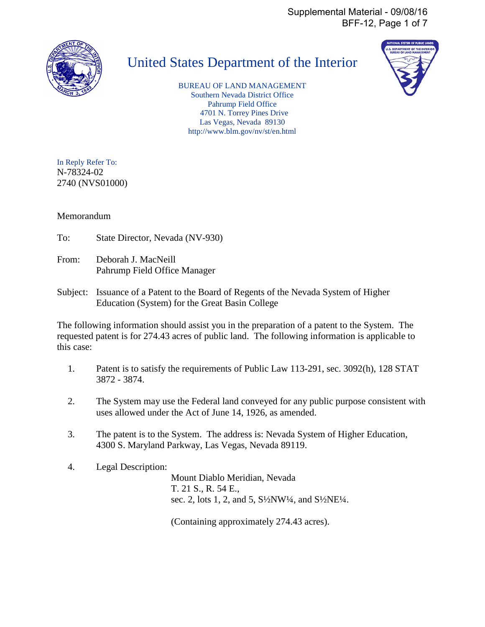Supplemental Material - 09/08/16 BFF-12, Page 1 of 7



# United States Department of the Interior

BUREAU OF LAND MANAGEMENT Southern Nevada District Office Pahrump Field Office 4701 N. Torrey Pines Drive Las Vegas, Nevada 89130 http://www.blm.gov/nv/st/en.html



In Reply Refer To: N-78324-02 2740 (NVS01000)

Memorandum

- To: State Director, Nevada (NV-930)
- From: Deborah J. MacNeill Pahrump Field Office Manager
- Subject: Issuance of a Patent to the Board of Regents of the Nevada System of Higher Education (System) for the Great Basin College

The following information should assist you in the preparation of a patent to the System. The requested patent is for 274.43 acres of public land. The following information is applicable to this case:

- 1. Patent is to satisfy the requirements of Public Law 113-291, sec. 3092(h), 128 STAT 3872 - 3874.
- 2. The System may use the Federal land conveyed for any public purpose consistent with uses allowed under the Act of June 14, 1926, as amended.
- 3. The patent is to the System. The address is: Nevada System of Higher Education, 4300 S. Maryland Parkway, Las Vegas, Nevada 89119.
- 4. Legal Description:

 Mount Diablo Meridian, Nevada T. 21 S., R. 54 E., sec. 2, lots 1, 2, and 5, S½NW¼, and S½NE¼.

(Containing approximately 274.43 acres).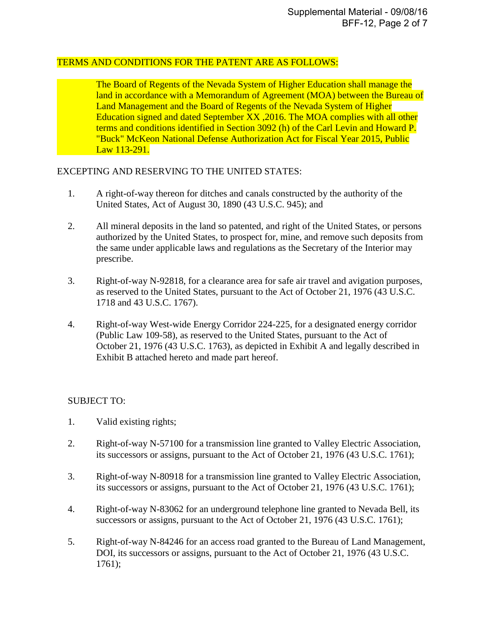#### TERMS AND CONDITIONS FOR THE PATENT ARE AS FOLLOWS:

 The Board of Regents of the Nevada System of Higher Education shall manage the land in accordance with a Memorandum of Agreement (MOA) between the Bureau of Land Management and the Board of Regents of the Nevada System of Higher Education signed and dated September XX ,2016. The MOA complies with all other terms and conditions identified in Section 3092 (h) of the Carl Levin and Howard P. "Buck" McKeon National Defense Authorization Act for Fiscal Year 2015, Public Law 113-291.

### EXCEPTING AND RESERVING TO THE UNITED STATES:

- 1. A right-of-way thereon for ditches and canals constructed by the authority of the United States, Act of August 30, 1890 (43 U.S.C. 945); and
- 2. All mineral deposits in the land so patented, and right of the United States, or persons authorized by the United States, to prospect for, mine, and remove such deposits from the same under applicable laws and regulations as the Secretary of the Interior may prescribe.
- 3. Right-of-way N-92818, for a clearance area for safe air travel and avigation purposes, as reserved to the United States, pursuant to the Act of October 21, 1976 (43 U.S.C. 1718 and 43 U.S.C. 1767).
- 4. Right-of-way West-wide Energy Corridor 224-225, for a designated energy corridor (Public Law 109-58), as reserved to the United States, pursuant to the Act of October 21, 1976 (43 U.S.C. 1763), as depicted in Exhibit A and legally described in Exhibit B attached hereto and made part hereof.

## SUBJECT TO:

- 1. Valid existing rights;
- 2. Right-of-way N-57100 for a transmission line granted to Valley Electric Association, its successors or assigns, pursuant to the Act of October 21, 1976 (43 U.S.C. 1761);
- 3. Right-of-way N-80918 for a transmission line granted to Valley Electric Association, its successors or assigns, pursuant to the Act of October 21, 1976 (43 U.S.C. 1761);
- 4. Right-of-way N-83062 for an underground telephone line granted to Nevada Bell, its successors or assigns, pursuant to the Act of October 21, 1976 (43 U.S.C. 1761);
- 5. Right-of-way N-84246 for an access road granted to the Bureau of Land Management, DOI, its successors or assigns, pursuant to the Act of October 21, 1976 (43 U.S.C. 1761);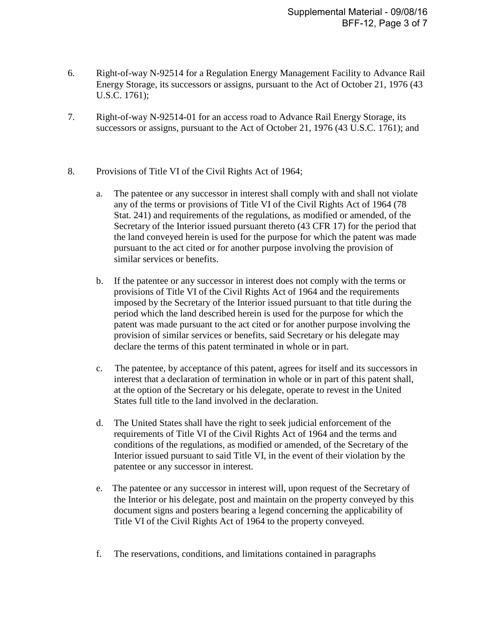- 6. Right-of-way N-92514 for a Regulation Energy Management Facility to Advance Rail Energy Storage, its successors or assigns, pursuant to the Act of October 21, 1976 (43 U.S.C. 1761);
- 7. Right-of-way N-92514-01 for an access road to Advance Rail Energy Storage, its successors or assigns, pursuant to the Act of October 21, 1976 (43 U.S.C. 1761); and
- 8. Provisions of Title VI of the Civil Rights Act of 1964;
	- a. The patentee or any successor in interest shall comply with and shall not violate any of the terms or provisions of Title VI of the Civil Rights Act of 1964 (78 Stat. 241) and requirements of the regulations, as modified or amended, of the Secretary of the Interior issued pursuant thereto (43 CFR 17) for the period that the land conveyed herein is used for the purpose for which the patent was made pursuant to the act cited or for another purpose involving the provision of similar services or benefits.
	- b. If the patentee or any successor in interest does not comply with the terms or provisions of Title VI of the Civil Rights Act of 1964 and the requirements imposed by the Secretary of the Interior issued pursuant to that title during the period which the land described herein is used for the purpose for which the patent was made pursuant to the act cited or for another purpose involving the provision of similar services or benefits, said Secretary or his delegate may declare the terms of this patent terminated in whole or in part.
	- c. The patentee, by acceptance of this patent, agrees for itself and its successors in interest that a declaration of termination in whole or in part of this patent shall, at the option of the Secretary or his delegate, operate to revest in the United States full title to the land involved in the declaration.
	- d. The United States shall have the right to seek judicial enforcement of the requirements of Title VI of the Civil Rights Act of 1964 and the terms and conditions of the regulations, as modified or amended, of the Secretary of the Interior issued pursuant to said Title VI, in the event of their violation by the patentee or any successor in interest.
	- e. The patentee or any successor in interest will, upon request of the Secretary of the Interior or his delegate, post and maintain on the property conveyed by this document signs and posters bearing a legend concerning the applicability of Title VI of the Civil Rights Act of 1964 to the property conveyed.
	- f. The reservations, conditions, and limitations contained in paragraphs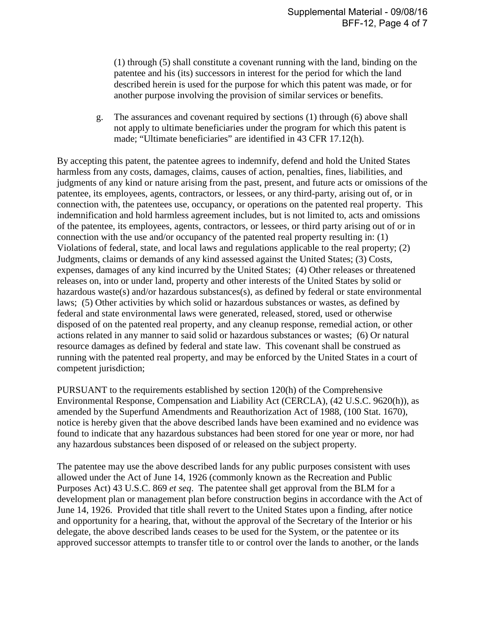(1) through (5) shall constitute a covenant running with the land, binding on the patentee and his (its) successors in interest for the period for which the land described herein is used for the purpose for which this patent was made, or for another purpose involving the provision of similar services or benefits.

g. The assurances and covenant required by sections (1) through (6) above shall not apply to ultimate beneficiaries under the program for which this patent is made; "Ultimate beneficiaries" are identified in 43 CFR 17.12(h).

By accepting this patent, the patentee agrees to indemnify, defend and hold the United States harmless from any costs, damages, claims, causes of action, penalties, fines, liabilities, and judgments of any kind or nature arising from the past, present, and future acts or omissions of the patentee, its employees, agents, contractors, or lessees, or any third-party, arising out of, or in connection with, the patentees use, occupancy, or operations on the patented real property. This indemnification and hold harmless agreement includes, but is not limited to, acts and omissions of the patentee, its employees, agents, contractors, or lessees, or third party arising out of or in connection with the use and/or occupancy of the patented real property resulting in: (1) Violations of federal, state, and local laws and regulations applicable to the real property; (2) Judgments, claims or demands of any kind assessed against the United States; (3) Costs, expenses, damages of any kind incurred by the United States; (4) Other releases or threatened releases on, into or under land, property and other interests of the United States by solid or hazardous waste(s) and/or hazardous substances(s), as defined by federal or state environmental laws; (5) Other activities by which solid or hazardous substances or wastes, as defined by federal and state environmental laws were generated, released, stored, used or otherwise disposed of on the patented real property, and any cleanup response, remedial action, or other actions related in any manner to said solid or hazardous substances or wastes; (6) Or natural resource damages as defined by federal and state law. This covenant shall be construed as running with the patented real property, and may be enforced by the United States in a court of competent jurisdiction;

PURSUANT to the requirements established by section 120(h) of the Comprehensive Environmental Response, Compensation and Liability Act (CERCLA), (42 U.S.C. 9620(h)), as amended by the Superfund Amendments and Reauthorization Act of 1988, (100 Stat. 1670), notice is hereby given that the above described lands have been examined and no evidence was found to indicate that any hazardous substances had been stored for one year or more, nor had any hazardous substances been disposed of or released on the subject property.

The patentee may use the above described lands for any public purposes consistent with uses allowed under the Act of June 14, 1926 (commonly known as the Recreation and Public Purposes Act) 43 U.S.C. 869 *et seq*. The patentee shall get approval from the BLM for a development plan or management plan before construction begins in accordance with the Act of June 14, 1926. Provided that title shall revert to the United States upon a finding, after notice and opportunity for a hearing, that, without the approval of the Secretary of the Interior or his delegate, the above described lands ceases to be used for the System, or the patentee or its approved successor attempts to transfer title to or control over the lands to another, or the lands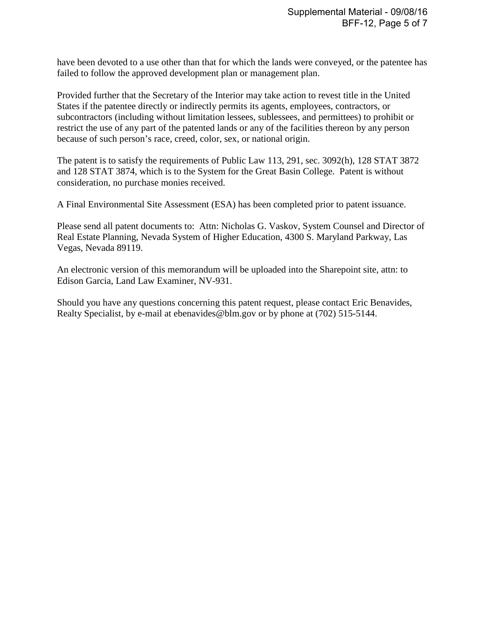have been devoted to a use other than that for which the lands were conveyed, or the patentee has failed to follow the approved development plan or management plan.

Provided further that the Secretary of the Interior may take action to revest title in the United States if the patentee directly or indirectly permits its agents, employees, contractors, or subcontractors (including without limitation lessees, sublessees, and permittees) to prohibit or restrict the use of any part of the patented lands or any of the facilities thereon by any person because of such person's race, creed, color, sex, or national origin.

The patent is to satisfy the requirements of Public Law 113, 291, sec. 3092(h), 128 STAT 3872 and 128 STAT 3874, which is to the System for the Great Basin College. Patent is without consideration, no purchase monies received.

A Final Environmental Site Assessment (ESA) has been completed prior to patent issuance.

Please send all patent documents to: Attn: Nicholas G. Vaskov, System Counsel and Director of Real Estate Planning, Nevada System of Higher Education, 4300 S. Maryland Parkway, Las Vegas, Nevada 89119.

An electronic version of this memorandum will be uploaded into the Sharepoint site, attn: to Edison Garcia, Land Law Examiner, NV-931.

Should you have any questions concerning this patent request, please contact Eric Benavides, Realty Specialist, by e-mail at ebenavides@blm.gov or by phone at (702) 515-5144.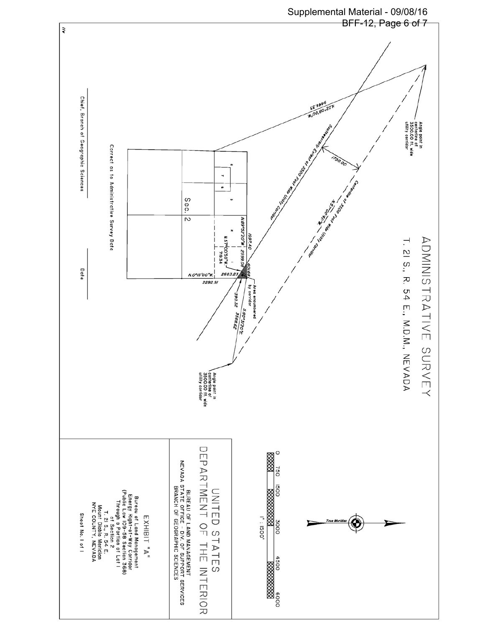